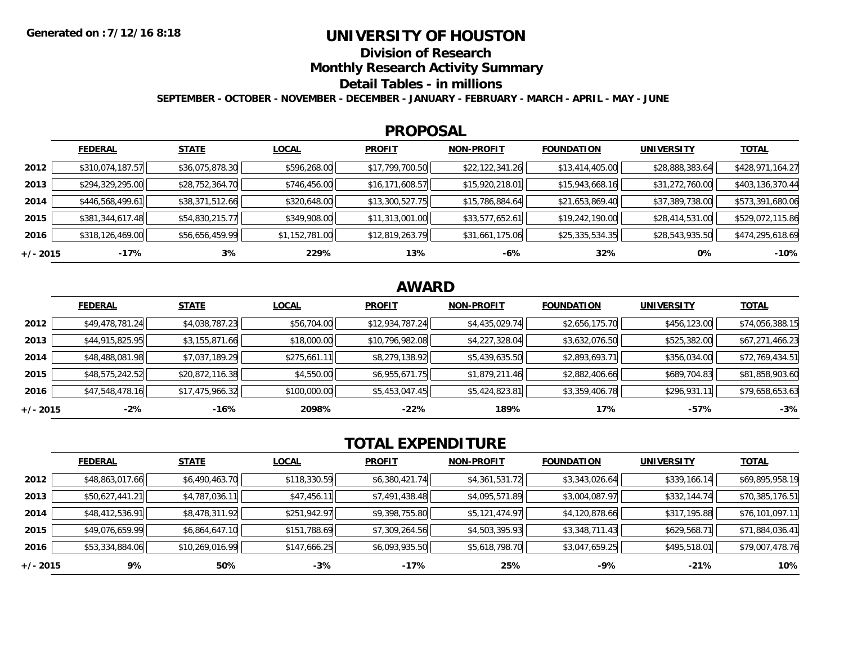## **UNIVERSITY OF HOUSTON**

**Division of Research**

**Monthly Research Activity Summary**

#### **Detail Tables - in millions**

**SEPTEMBER - OCTOBER - NOVEMBER - DECEMBER - JANUARY - FEBRUARY - MARCH - APRIL - MAY - JUNE**

#### **PROPOSAL**

|            | <b>FEDERAL</b>   | <b>STATE</b>    | <b>LOCAL</b>   | <b>PROFIT</b>   | <b>NON-PROFIT</b> | <b>FOUNDATION</b> | <b>UNIVERSITY</b> | <b>TOTAL</b>     |
|------------|------------------|-----------------|----------------|-----------------|-------------------|-------------------|-------------------|------------------|
| 2012       | \$310,074,187.57 | \$36,075,878.30 | \$596,268.00   | \$17,799,700.50 | \$22,122,341.26   | \$13,414,405.00   | \$28,888,383.64   | \$428,971,164.27 |
| 2013       | \$294,329,295.00 | \$28,752,364.70 | \$746,456.00   | \$16,171,608.57 | \$15,920,218.01   | \$15,943,668.16   | \$31,272,760.00   | \$403,136,370.44 |
| 2014       | \$446,568,499.61 | \$38,371,512.66 | \$320,648.00   | \$13,300,527.75 | \$15,786,884.64   | \$21,653,869.40   | \$37,389,738.00   | \$573,391,680.06 |
| 2015       | \$381,344,617.48 | \$54,830,215.77 | \$349,908.00   | \$11,313,001.00 | \$33,577,652.61   | \$19,242,190.00   | \$28,414,531.00   | \$529,072,115.86 |
| 2016       | \$318,126,469.00 | \$56,656,459.99 | \$1,152,781.00 | \$12,819,263.79 | \$31,661,175.06   | \$25,335,534.35   | \$28,543,935.50   | \$474,295,618.69 |
| $+/- 2015$ | -17%             | 3%              | 229%           | 13%             | -6%               | 32%               | 0%                | $-10%$           |

# **AWARD**

|            | <b>FEDERAL</b>  | <b>STATE</b>    | <b>LOCAL</b> | <b>PROFIT</b>   | <b>NON-PROFIT</b> | <b>FOUNDATION</b> | <b>UNIVERSITY</b> | <u>TOTAL</u>    |
|------------|-----------------|-----------------|--------------|-----------------|-------------------|-------------------|-------------------|-----------------|
| 2012       | \$49,478,781.24 | \$4,038,787.23  | \$56,704.00  | \$12,934,787.24 | \$4,435,029.74    | \$2,656,175.70    | \$456,123.00      | \$74,056,388.15 |
| 2013       | \$44,915,825.95 | \$3,155,871.66  | \$18,000.00  | \$10,796,982.08 | \$4,227,328.04    | \$3,632,076.50    | \$525,382.00      | \$67,271,466.23 |
| 2014       | \$48,488,081.98 | \$7,037,189.29  | \$275,661.11 | \$8,279,138.92  | \$5,439,635.50    | \$2,893,693.71    | \$356,034.00      | \$72,769,434.51 |
| 2015       | \$48,575,242.52 | \$20,872,116.38 | \$4,550.00   | \$6,955,671.75  | \$1,879,211.46    | \$2,882,406.66    | \$689,704.83      | \$81,858,903.60 |
| 2016       | \$47,548,478.16 | \$17,475,966.32 | \$100,000.00 | \$5,453,047.45  | \$5,424,823.81    | \$3,359,406.78    | \$296,931.11      | \$79,658,653.63 |
| $+/- 2015$ | $-2%$           | -16%            | 2098%        | $-22%$          | 189%              | 17%               | $-57%$            | $-3%$           |

# **TOTAL EXPENDITURE**

|            | <b>FEDERAL</b>  | <b>STATE</b>    | <b>LOCAL</b> | <b>PROFIT</b>  | <b>NON-PROFIT</b> | <b>FOUNDATION</b> | <b>UNIVERSITY</b> | <b>TOTAL</b>    |
|------------|-----------------|-----------------|--------------|----------------|-------------------|-------------------|-------------------|-----------------|
| 2012       | \$48,863,017.66 | \$6,490,463.70  | \$118,330.59 | \$6,380,421.74 | \$4,361,531.72    | \$3,343,026.64    | \$339,166.14      | \$69,895,958.19 |
| 2013       | \$50,627,441.21 | \$4,787,036.11  | \$47,456.11  | \$7,491,438.48 | \$4,095,571.89    | \$3,004,087.97    | \$332,144.74      | \$70,385,176.51 |
| 2014       | \$48,412,536.91 | \$8,478,311.92  | \$251,942.97 | \$9,398,755.80 | \$5,121,474.97    | \$4,120,878.66    | \$317,195.88      | \$76,101,097.11 |
| 2015       | \$49,076,659.99 | \$6,864,647.10  | \$151,788.69 | \$7,309,264.56 | \$4,503,395.93    | \$3,348,711.43    | \$629,568.71      | \$71,884,036.41 |
| 2016       | \$53,334,884.06 | \$10,269,016.99 | \$147,666.25 | \$6,093,935.50 | \$5,618,798.70    | \$3,047,659.25    | \$495,518.01      | \$79,007,478.76 |
| $+/- 2015$ | 9%              | 50%             | $-3%$        | -17%           | 25%               | -9%               | $-21%$            | 10%             |